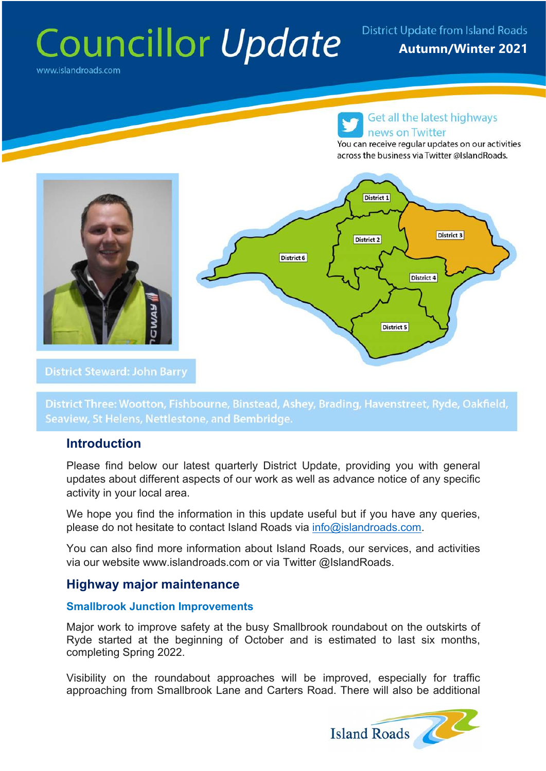# Councillor Update District Update from Island Roads

www.islandroads.com

## Get all the latest highways news on Twitter

You can receive regular updates on our activities across the business via Twitter @IslandRoads.



District Three: Wootton, Fishbourne, Binstead, Ashey, Brading, Havenstreet, Ryde, Oakfield, Seaview, St Helens, Nettlestone, and Bembridge.

## **Introduction**

Please find below our latest quarterly District Update, providing you with general updates about different aspects of our work as well as advance notice of any specific activity in your local area.

We hope you find the information in this update useful but if you have any queries, please do not hesitate to contact Island Roads via info@islandroads.com.

You can also find more information about Island Roads, our services, and activities via our website www.islandroads.com or via Twitter @IslandRoads.

## **Highway major maintenance**

## **Smallbrook Junction Improvements**

Major work to improve safety at the busy Smallbrook roundabout on the outskirts of Ryde started at the beginning of October and is estimated to last six months, completing Spring 2022.

Visibility on the roundabout approaches will be improved, especially for traffic approaching from Smallbrook Lane and Carters Road. There will also be additional

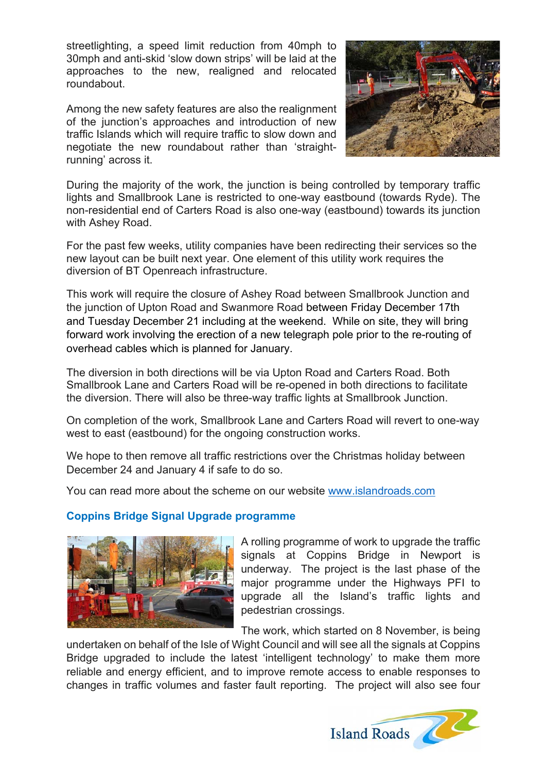streetlighting, a speed limit reduction from 40mph to 30mph and anti-skid 'slow down strips' will be laid at the approaches to the new, realigned and relocated roundabout.

Among the new safety features are also the realignment of the junction's approaches and introduction of new traffic Islands which will require traffic to slow down and negotiate the new roundabout rather than 'straightrunning' across it.



During the majority of the work, the junction is being controlled by temporary traffic lights and Smallbrook Lane is restricted to one-way eastbound (towards Ryde). The non-residential end of Carters Road is also one-way (eastbound) towards its junction with Ashey Road.

For the past few weeks, utility companies have been redirecting their services so the new layout can be built next year. One element of this utility work requires the diversion of BT Openreach infrastructure.

This work will require the closure of Ashey Road between Smallbrook Junction and the junction of Upton Road and Swanmore Road between Friday December 17th and Tuesday December 21 including at the weekend. While on site, they will bring forward work involving the erection of a new telegraph pole prior to the re-routing of overhead cables which is planned for January.

The diversion in both directions will be via Upton Road and Carters Road. Both Smallbrook Lane and Carters Road will be re-opened in both directions to facilitate the diversion. There will also be three-way traffic lights at Smallbrook Junction.

On completion of the work, Smallbrook Lane and Carters Road will revert to one-way west to east (eastbound) for the ongoing construction works.

We hope to then remove all traffic restrictions over the Christmas holiday between December 24 and January 4 if safe to do so.

You can read more about the scheme on our website www.islandroads.com

## **Coppins Bridge Signal Upgrade programme**



A rolling programme of work to upgrade the traffic signals at Coppins Bridge in Newport is underway. The project is the last phase of the major programme under the Highways PFI to upgrade all the Island's traffic lights and pedestrian crossings.

The work, which started on 8 November, is being

undertaken on behalf of the Isle of Wight Council and will see all the signals at Coppins Bridge upgraded to include the latest 'intelligent technology' to make them more reliable and energy efficient, and to improve remote access to enable responses to changes in traffic volumes and faster fault reporting. The project will also see four

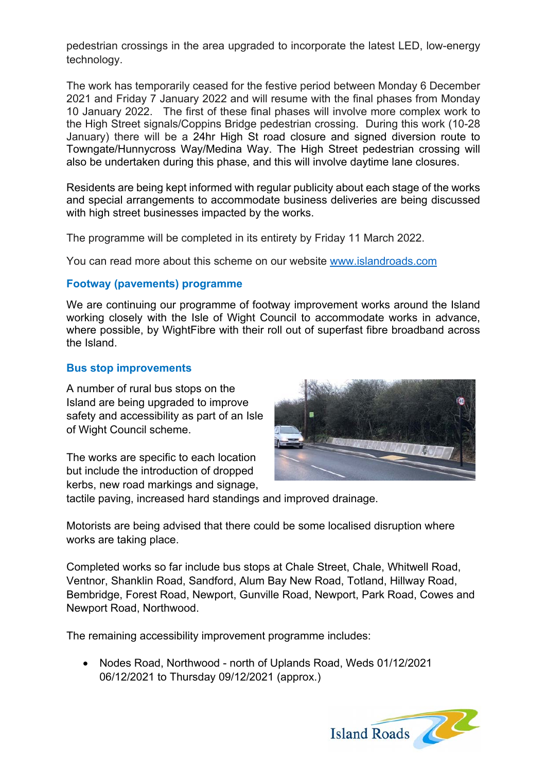pedestrian crossings in the area upgraded to incorporate the latest LED, low-energy technology.

The work has temporarily ceased for the festive period between Monday 6 December 2021 and Friday 7 January 2022 and will resume with the final phases from Monday 10 January 2022. The first of these final phases will involve more complex work to the High Street signals/Coppins Bridge pedestrian crossing. During this work (10-28 January) there will be a 24hr High St road closure and signed diversion route to Towngate/Hunnycross Way/Medina Way. The High Street pedestrian crossing will also be undertaken during this phase, and this will involve daytime lane closures.

Residents are being kept informed with regular publicity about each stage of the works and special arrangements to accommodate business deliveries are being discussed with high street businesses impacted by the works.

The programme will be completed in its entirety by Friday 11 March 2022.

You can read more about this scheme on our website www.islandroads.com

## **Footway (pavements) programme**

We are continuing our programme of footway improvement works around the Island working closely with the Isle of Wight Council to accommodate works in advance, where possible, by WightFibre with their roll out of superfast fibre broadband across the Island.

## **Bus stop improvements**

A number of rural bus stops on the Island are being upgraded to improve safety and accessibility as part of an Isle of Wight Council scheme.

The works are specific to each location but include the introduction of dropped kerbs, new road markings and signage,



tactile paving, increased hard standings and improved drainage.

Motorists are being advised that there could be some localised disruption where works are taking place.

Completed works so far include bus stops at Chale Street, Chale, Whitwell Road, Ventnor, Shanklin Road, Sandford, Alum Bay New Road, Totland, Hillway Road, Bembridge, Forest Road, Newport, Gunville Road, Newport, Park Road, Cowes and Newport Road, Northwood.

The remaining accessibility improvement programme includes:

• Nodes Road, Northwood - north of Uplands Road, Weds 01/12/2021 06/12/2021 to Thursday 09/12/2021 (approx.)

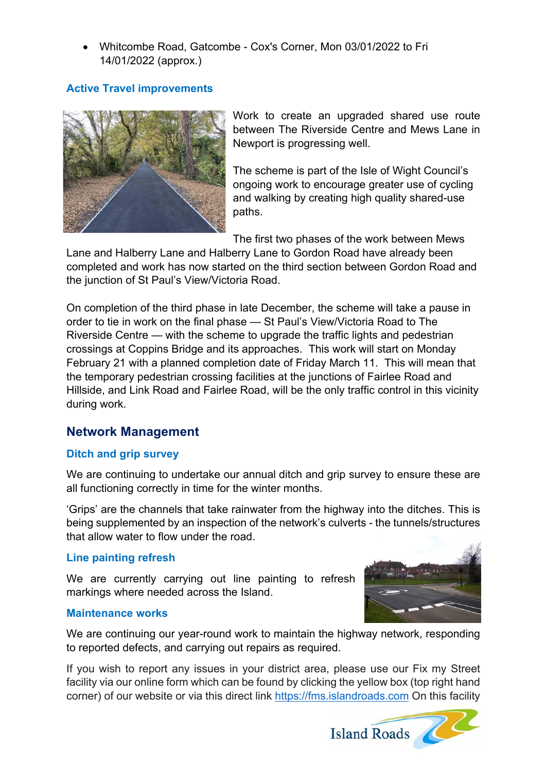• Whitcombe Road, Gatcombe - Cox's Corner, Mon 03/01/2022 to Fri 14/01/2022 (approx.)

## **Active Travel improvements**



Work to create an upgraded shared use route between The Riverside Centre and Mews Lane in Newport is progressing well.

The scheme is part of the Isle of Wight Council's ongoing work to encourage greater use of cycling and walking by creating high quality shared-use paths.

The first two phases of the work between Mews

Lane and Halberry Lane and Halberry Lane to Gordon Road have already been completed and work has now started on the third section between Gordon Road and the junction of St Paul's View/Victoria Road.

On completion of the third phase in late December, the scheme will take a pause in order to tie in work on the final phase — St Paul's View/Victoria Road to The Riverside Centre — with the scheme to upgrade the traffic lights and pedestrian crossings at Coppins Bridge and its approaches. This work will start on Monday February 21 with a planned completion date of Friday March 11. This will mean that the temporary pedestrian crossing facilities at the junctions of Fairlee Road and Hillside, and Link Road and Fairlee Road, will be the only traffic control in this vicinity during work.

## **Network Management**

## **Ditch and grip survey**

We are continuing to undertake our annual ditch and grip survey to ensure these are all functioning correctly in time for the winter months.

'Grips' are the channels that take rainwater from the highway into the ditches. This is being supplemented by an inspection of the network's culverts - the tunnels/structures that allow water to flow under the road.

## **Line painting refresh**

We are currently carrying out line painting to refresh markings where needed across the Island.





We are continuing our year-round work to maintain the highway network, responding to reported defects, and carrying out repairs as required.

If you wish to report any issues in your district area, please use our Fix my Street facility via our online form which can be found by clicking the yellow box (top right hand corner) of our website or via this direct link https://fms.islandroads.com On this facility

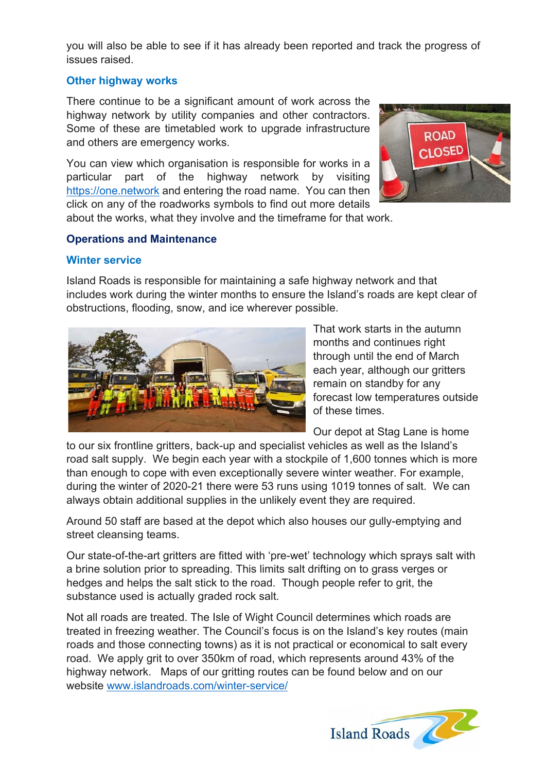you will also be able to see if it has already been reported and track the progress of issues raised.

## **Other highway works**

There continue to be a significant amount of work across the highway network by utility companies and other contractors. Some of these are timetabled work to upgrade infrastructure and others are emergency works.

You can view which organisation is responsible for works in a particular part of the highway network by visiting https://one.network and entering the road name. You can then click on any of the roadworks symbols to find out more details about the works, what they involve and the timeframe for that work.



## **Operations and Maintenance**

## **Winter service**

Island Roads is responsible for maintaining a safe highway network and that includes work during the winter months to ensure the Island's roads are kept clear of obstructions, flooding, snow, and ice wherever possible.



That work starts in the autumn months and continues right through until the end of March each year, although our gritters remain on standby for any forecast low temperatures outside of these times.

Our depot at Stag Lane is home

to our six frontline gritters, back-up and specialist vehicles as well as the Island's road salt supply. We begin each year with a stockpile of 1,600 tonnes which is more than enough to cope with even exceptionally severe winter weather. For example, during the winter of 2020-21 there were 53 runs using 1019 tonnes of salt. We can always obtain additional supplies in the unlikely event they are required.

Around 50 staff are based at the depot which also houses our gully-emptying and street cleansing teams.

Our state-of-the-art gritters are fitted with 'pre-wet' technology which sprays salt with a brine solution prior to spreading. This limits salt drifting on to grass verges or hedges and helps the salt stick to the road. Though people refer to grit, the substance used is actually graded rock salt.

Not all roads are treated. The Isle of Wight Council determines which roads are treated in freezing weather. The Council's focus is on the Island's key routes (main roads and those connecting towns) as it is not practical or economical to salt every road. We apply grit to over 350km of road, which represents around 43% of the highway network. Maps of our gritting routes can be found below and on our website www.islandroads.com/winter-service/

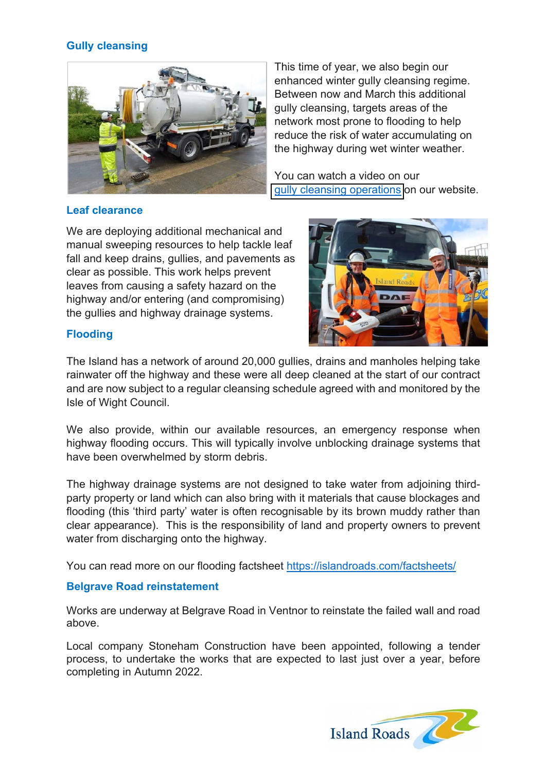## **Gully cleansing**



This time of year, we also begin our enhanced winter gully cleansing regime. Between now and March this additional gully cleansing, targets areas of the network most prone to flooding to help reduce the risk of water accumulating on the highway during wet winter weather.

You can watch a video on our [gully cleansing operations](https://islandroads.com/our-highway-service/environmental-services/gully-cleansing-2/) on our website.

## **Leaf clearance**

We are deploying additional mechanical and manual sweeping resources to help tackle leaf fall and keep drains, gullies, and pavements as clear as possible. This work helps prevent leaves from causing a safety hazard on the highway and/or entering (and compromising) the gullies and highway drainage systems.



## **Flooding**

The Island has a network of around 20,000 gullies, drains and manholes helping take rainwater off the highway and these were all deep cleaned at the start of our contract and are now subject to a regular cleansing schedule agreed with and monitored by the Isle of Wight Council.

We also provide, within our available resources, an emergency response when highway flooding occurs. This will typically involve unblocking drainage systems that have been overwhelmed by storm debris.

The highway drainage systems are not designed to take water from adjoining thirdparty property or land which can also bring with it materials that cause blockages and flooding (this 'third party' water is often recognisable by its brown muddy rather than clear appearance). This is the responsibility of land and property owners to prevent water from discharging onto the highway.

You can read more on our flooding factsheet https://islandroads.com/factsheets/

## **Belgrave Road reinstatement**

Works are underway at Belgrave Road in Ventnor to reinstate the failed wall and road above.

Local company Stoneham Construction have been appointed, following a tender process, to undertake the works that are expected to last just over a year, before completing in Autumn 2022.

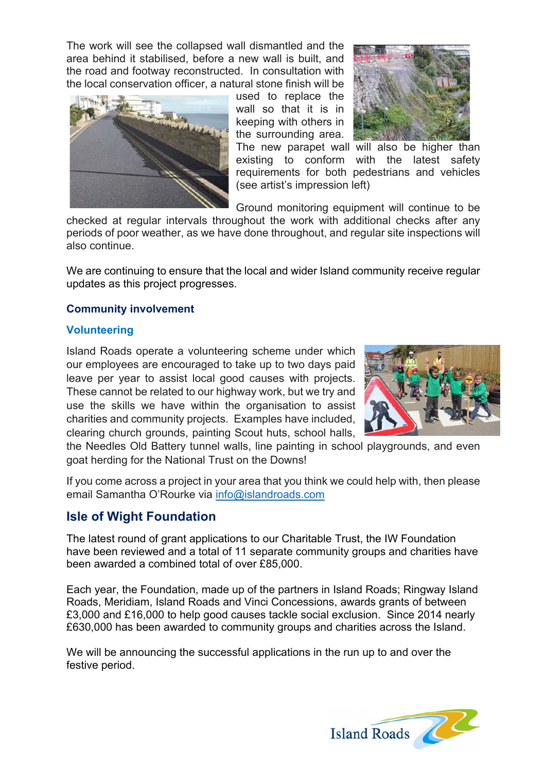The work will see the collapsed wall dismantled and the area behind it stabilised, before a new wall is built, and the road and footway reconstructed. In consultation with the local conservation officer, a natural stone finish will be



used to replace the wall so that it is in keeping with others in the surrounding area.



The new parapet wall will also be higher than existing to conform with the latest safety requirements for both pedestrians and vehicles (see artist's impression left)

Ground monitoring equipment will continue to be

checked at regular intervals throughout the work with additional checks after any periods of poor weather, as we have done throughout, and regular site inspections will also continue.

We are continuing to ensure that the local and wider Island community receive regular updates as this project progresses.

## **Community involvement**

#### **Volunteering**

Island Roads operate a volunteering scheme under which our employees are encouraged to take up to two days paid leave per year to assist local good causes with projects. These cannot be related to our highway work, but we try and use the skills we have within the organisation to assist charities and community projects. Examples have included, clearing church grounds, painting Scout huts, school halls,



the Needles Old Battery tunnel walls, line painting in school playgrounds, and even goat herding for the National Trust on the Downs!

If you come across a project in your area that you think we could help with, then please email Samantha O'Rourke via info@islandroads.com

## **Isle of Wight Foundation**

The latest round of grant applications to our Charitable Trust, the IW Foundation have been reviewed and a total of 11 separate community groups and charities have been awarded a combined total of over £85,000.

Each year, the Foundation, made up of the partners in Island Roads; Ringway Island Roads, Meridiam, Island Roads and Vinci Concessions, awards grants of between £3,000 and £16,000 to help good causes tackle social exclusion. Since 2014 nearly £630,000 has been awarded to community groups and charities across the Island.

We will be announcing the successful applications in the run up to and over the festive period.